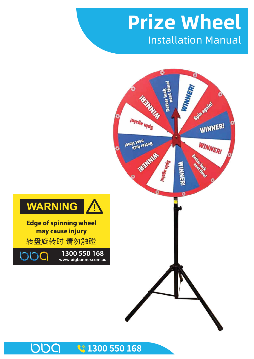# Installation Manual **Prize Wheel**





**Edge of spinning wheel** may cause injury 转盘旋转时 请勿触碰

1300 550 168

DDQ

DDC

#### ₹1300 550 168